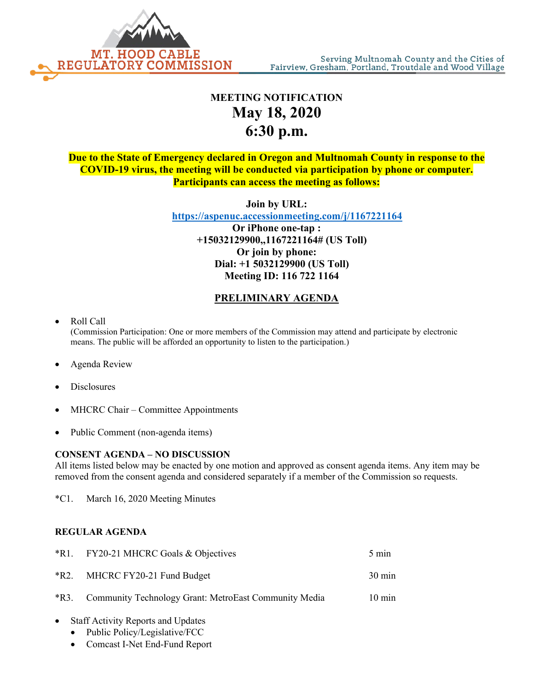

## **MEETING NOTIFICATION May 18, 2020 6:30 p.m.**

**Due to the State of Emergency declared in Oregon and Multnomah County in response to the COVID-19 virus, the meeting will be conducted via participation by phone or computer. Participants can access the meeting as follows:**

**Join by URL:** 

 **<https://aspenuc.accessionmeeting.com/j/1167221164>**

**Or iPhone one-tap : +15032129900,,1167221164# (US Toll) Or join by phone: Dial: +1 5032129900 (US Toll) Meeting ID: 116 722 1164**

## **PRELIMINARY AGENDA**

• Roll Call

(Commission Participation: One or more members of the Commission may attend and participate by electronic means. The public will be afforded an opportunity to listen to the participation.)

- Agenda Review
- **Disclosures**
- MHCRC Chair Committee Appointments
- Public Comment (non-agenda items)

## **CONSENT AGENDA – NO DISCUSSION**

All items listed below may be enacted by one motion and approved as consent agenda items. Any item may be removed from the consent agenda and considered separately if a member of the Commission so requests.

\*C1. March 16, 2020 Meeting Minutes

## **REGULAR AGENDA**

|      | *R1. FY20-21 MHCRC Goals & Objectives                      | $5 \text{ min}$  |
|------|------------------------------------------------------------|------------------|
| *R2. | MHCRC FY20-21 Fund Budget                                  | $30 \text{ min}$ |
|      | *R3. Community Technology Grant: MetroEast Community Media | $10 \text{ min}$ |

- Staff Activity Reports and Updates
	- Public Policy/Legislative/FCC
	- Comcast I-Net End-Fund Report